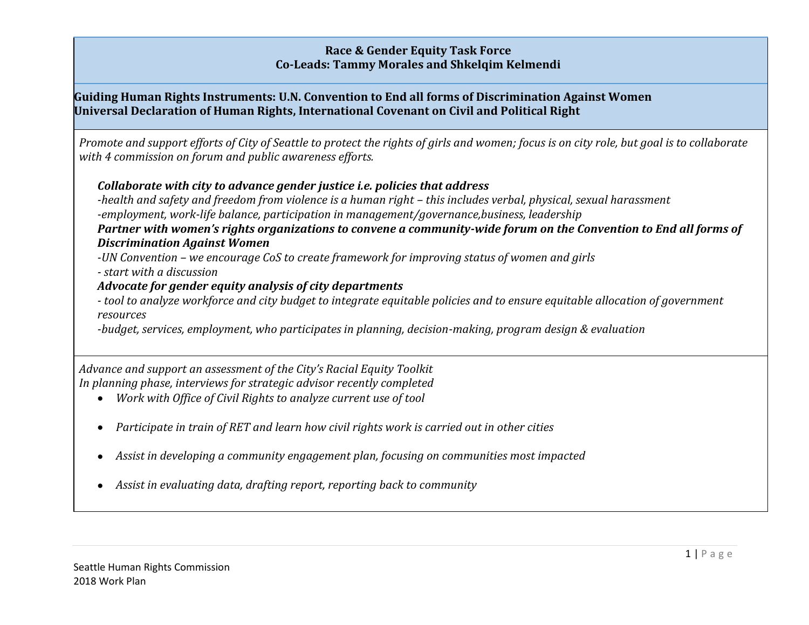# **Race & Gender Equity Task Force Co-Leads: Tammy Morales and Shkelqim Kelmendi**

**Guiding Human Rights Instruments: U.N. Convention to End all forms of Discrimination Against Women Universal Declaration of Human Rights, International Covenant on Civil and Political Right**

*Promote and support efforts of City of Seattle to protect the rights of girls and women; focus is on city role, but goal is to collaborate with 4 commission on forum and public awareness efforts.*

### *Collaborate with city to advance gender justice i.e. policies that address*

*-health and safety and freedom from violence is a human right – this includes verbal, physical, sexual harassment -employment, work-life balance, participation in management/governance,business, leadership*

#### *Partner with women's rights organizations to convene a community-wide forum on the Convention to End all forms of Discrimination Against Women*

*-UN Convention – we encourage CoS to create framework for improving status of women and girls*

*- start with a discussion* 

### *Advocate for gender equity analysis of city departments*

*- tool to analyze workforce and city budget to integrate equitable policies and to ensure equitable allocation of government resources*

*-budget, services, employment, who participates in planning, decision-making, program design & evaluation*

*Advance and support an assessment of the City's Racial Equity Toolkit In planning phase, interviews for strategic advisor recently completed*

- *Work with Office of Civil Rights to analyze current use of tool*
- *Participate in train of RET and learn how civil rights work is carried out in other cities*
- *Assist in developing a community engagement plan, focusing on communities most impacted*
- *Assist in evaluating data, drafting report, reporting back to community*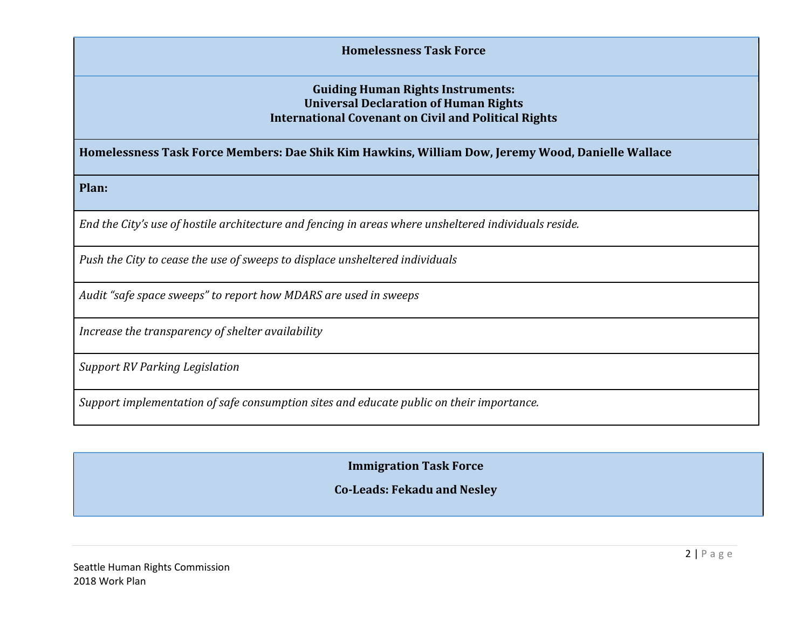**Homelessness Task Force**

#### **Guiding Human Rights Instruments: Universal Declaration of Human Rights International Covenant on Civil and Political Rights**

**Homelessness Task Force Members: Dae Shik Kim Hawkins, William Dow, Jeremy Wood, Danielle Wallace**

**Plan:**

*End the City's use of hostile architecture and fencing in areas where unsheltered individuals reside.* 

*Push the City to cease the use of sweeps to displace unsheltered individuals* 

*Audit "safe space sweeps" to report how MDARS are used in sweeps*

*Increase the transparency of shelter availability*

*Support RV Parking Legislation*

*Support implementation of safe consumption sites and educate public on their importance.*

**Immigration Task Force**

**Co-Leads: Fekadu and Nesley**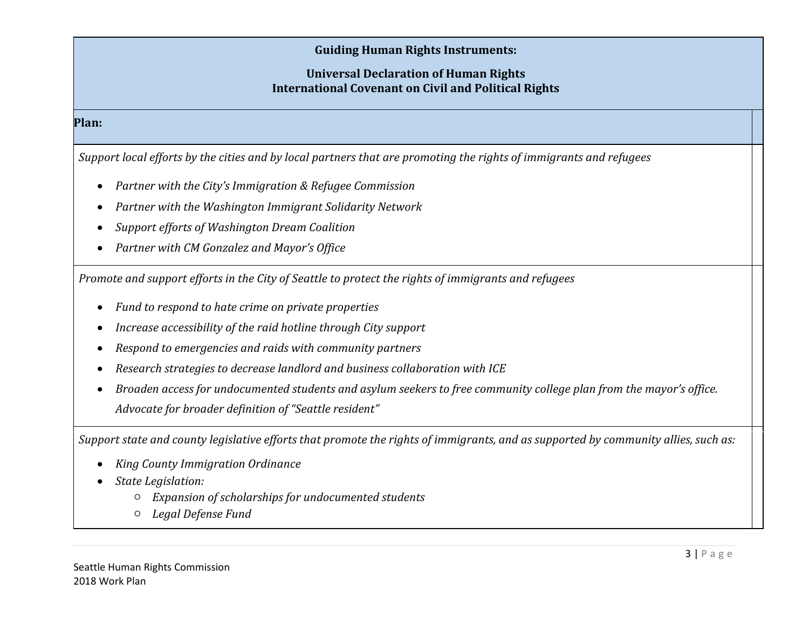## **Guiding Human Rights Instruments:**

# **Universal Declaration of Human Rights International Covenant on Civil and Political Rights**

#### **Plan:**

*Support local efforts by the cities and by local partners that are promoting the rights of immigrants and refugees*

- *Partner with the City's Immigration & Refugee Commission*
- *Partner with the Washington Immigrant Solidarity Network*
- *Support efforts of Washington Dream Coalition*
- *Partner with CM Gonzalez and Mayor's Office*

*Promote and support efforts in the City of Seattle to protect the rights of immigrants and refugees*

- *Fund to respond to hate crime on private properties*
- *Increase accessibility of the raid hotline through City support*
- *Respond to emergencies and raids with community partners*
- *Research strategies to decrease landlord and business collaboration with ICE*
- *Broaden access for undocumented students and asylum seekers to free community college plan from the mayor's office. Advocate for broader definition of "Seattle resident"*

*Support state and county legislative efforts that promote the rights of immigrants, and as supported by community allies, such as:*

- *King County Immigration Ordinance*
- *State Legislation:*
	- *Expansion of scholarships for undocumented students*
	- *Legal Defense Fund*